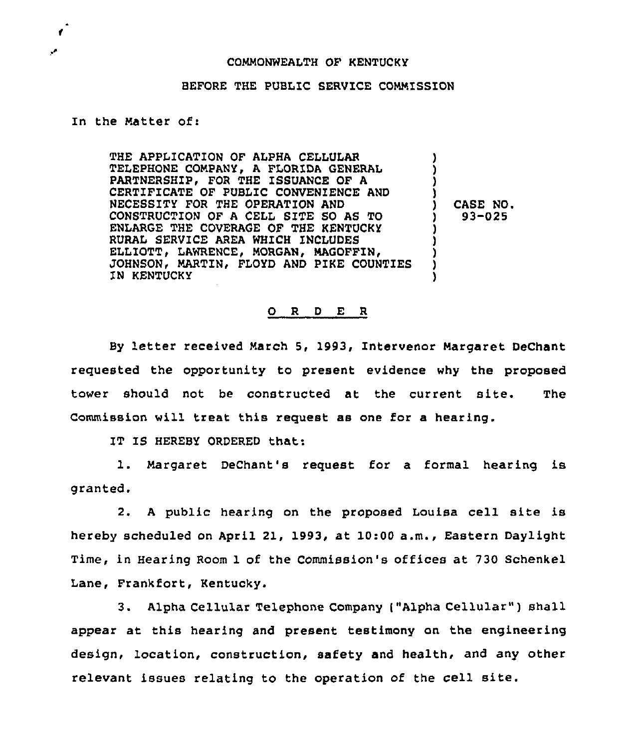## COMMONWEALTH OF KENTUCKY

## BEFORE THE PUBLIC SERVICE COMMISSION

## In the Matter of:

 $\mathbf{r}$ 

THE APPLICATION OF ALPHA CELLULAR TELEPHONE COMPANY, A FLORIDA GENERAL PARTNERSHIP, FOR THE ISSUANCE OF A CERTIFICATE OF PUBLIC CONVENIENCE AND NECESSITY FOR THE OPERATION AND CONSTRUCTION OF <sup>A</sup> CELL SITE SO AS TO ENLARGE THE COVERAGE OF THE KENTUCKY RURAL SERVICE AREA WHICH INCLUDES ELLIOTT, LAWRENCE, MORGAN, MAGOFFIN, JOHNSON< MARTIN, FLOYD AND PIKE COUNTIES IN KENTUCKY ) ) ) ) ) CASE NO. ) 93-025 ) ) ) ) )

## 0 <sup>R</sup> <sup>D</sup> E <sup>R</sup>

By letter received March 5, 1993, Intervenor Margaret DeChant requested the opportunity to present evidence why the proposed tower should not be constructed at the current site. The Commission will treat this request as one for a hearing.

IT IS HEREBY ORDERED that:

1. Margaret DeChant's request for <sup>a</sup> formal hearing is granted.

2. A public hearing on the proposed Louisa cell site is hereby scheduled on April 21, 1993, at 10:00 a.m., Eastern Daylight Time, in Hearing Room 1 of the Commission's offices at 730 Schenkel Lane, Frankfort, Kentucky.

3. Alpha Cellular Telephone Company ("Alpha Cellular" ) shall appear at this hearing and present testimony on the engineering design, location, construction, safety and health, and any other relevant issues relating to the operation of the cell site.